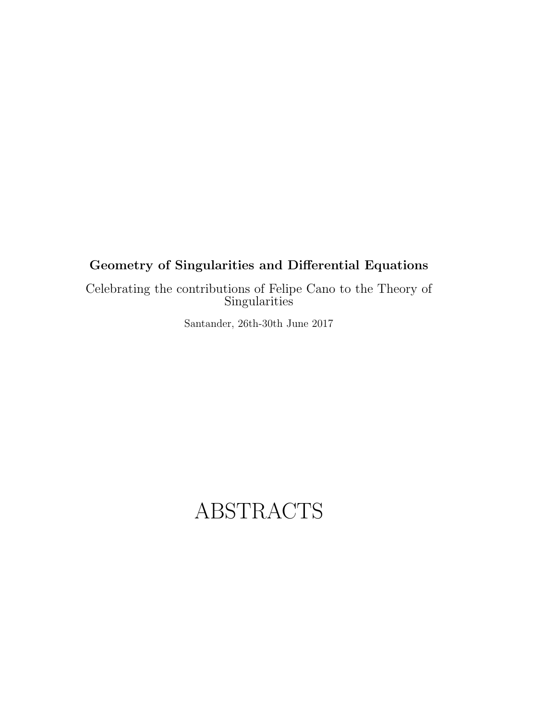# **Geometry of Singularities and Differential Equations**

Celebrating the contributions of Felipe Cano to the Theory of **Singularities** 

Santander, 26th-30th June 2017

# ABSTRACTS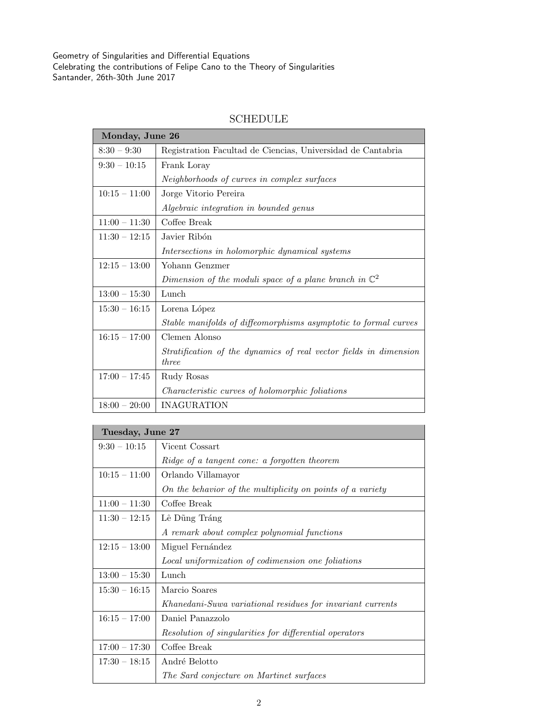| Monday, June 26 |                                                                                   |  |
|-----------------|-----------------------------------------------------------------------------------|--|
| $8:30 - 9:30$   | Registration Facultad de Ciencias, Universidad de Cantabria                       |  |
| $9:30 - 10:15$  | Frank Loray                                                                       |  |
|                 | Neighborhoods of curves in complex surfaces                                       |  |
| $10:15 - 11:00$ | Jorge Vitorio Pereira                                                             |  |
|                 | Algebraic integration in bounded genus                                            |  |
| $11:00 - 11:30$ | Coffee Break                                                                      |  |
| $11:30 - 12:15$ | Javier Ribón                                                                      |  |
|                 | Intersections in holomorphic dynamical systems                                    |  |
| $12:15 - 13:00$ | Yohann Genzmer                                                                    |  |
|                 | Dimension of the moduli space of a plane branch in $\mathbb{C}^2$                 |  |
| $13:00 - 15:30$ | Lunch                                                                             |  |
| $15:30 - 16:15$ | Lorena López                                                                      |  |
|                 | Stable manifolds of diffeomorphisms asymptotic to formal curves                   |  |
| $16:15 - 17:00$ | Clemen Alonso                                                                     |  |
|                 | Stratification of the dynamics of real vector fields in dimension<br><i>three</i> |  |
| $17:00 - 17:45$ | Rudy Rosas                                                                        |  |
|                 | Characteristic curves of holomorphic foliations                                   |  |
| $18:00 - 20:00$ | <b>INAGURATION</b>                                                                |  |

## SCHEDULE

| Tuesday, June 27 |                                                            |  |
|------------------|------------------------------------------------------------|--|
| $9:30 - 10:15$   | Vicent Cossart                                             |  |
|                  | Ridge of a tangent cone: a forgotten theorem               |  |
| $10:15 - 11:00$  | Orlando Villamayor                                         |  |
|                  | On the behavior of the multiplicity on points of a variety |  |
| $11:00 - 11:30$  | Coffee Break                                               |  |
| $11:30 - 12:15$  | Lê Dũng Tráng                                              |  |
|                  | A remark about complex polynomial functions                |  |
| $12:15 - 13:00$  | Miguel Fernández                                           |  |
|                  | Local uniformization of codimension one foliations         |  |
| $13:00 - 15:30$  | Lunch                                                      |  |
| $15:30 - 16:15$  | Marcio Soares                                              |  |
|                  | Khanedani-Suwa variational residues for invariant currents |  |
| $16:15 - 17:00$  | Daniel Panazzolo                                           |  |
|                  | Resolution of singularities for differential operators     |  |
| $17:00 - 17:30$  | Coffee Break                                               |  |
| $17:30 - 18:15$  | André Belotto                                              |  |
|                  | The Sard conjecture on Martinet surfaces                   |  |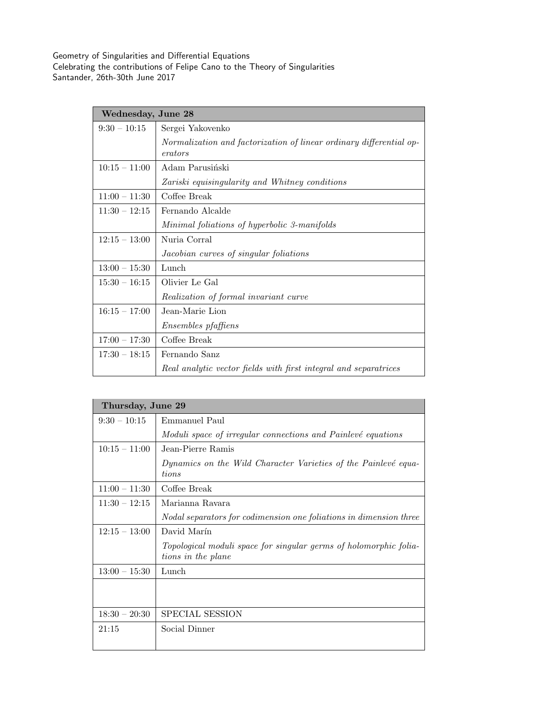| Wednesday, June 28 |                                                                                |
|--------------------|--------------------------------------------------------------------------------|
| $9:30 - 10:15$     | Sergei Yakovenko                                                               |
|                    | Normalization and factorization of linear ordinary differential op-<br>erators |
| $10:15 - 11:00$    | Adam Parusiński                                                                |
|                    | Zariski equisingularity and Whitney conditions                                 |
| $11:00 - 11:30$    | Coffee Break                                                                   |
| $11:30 - 12:15$    | Fernando Alcalde                                                               |
|                    | Minimal foliations of hyperbolic 3-manifolds                                   |
| $12:15 - 13:00$    | Nuria Corral                                                                   |
|                    | Jacobian curves of singular foliations                                         |
| $13:00 - 15:30$    | Lunch                                                                          |
| $15:30 - 16:15$    | Olivier Le Gal                                                                 |
|                    | Realization of formal invariant curve                                          |
| $16:15 - 17:00$    | Jean-Marie Lion                                                                |
|                    | <i>Ensembles pfaffiens</i>                                                     |
| $17:00 - 17:30$    | Coffee Break                                                                   |
| $17:30 - 18:15$    | Fernando Sanz                                                                  |
|                    | Real analytic vector fields with first integral and separatrices               |

| Thursday, June 29 |                                                                                         |  |
|-------------------|-----------------------------------------------------------------------------------------|--|
| $9:30 - 10:15$    | Emmanuel Paul                                                                           |  |
|                   | Moduli space of irregular connections and Painlevé equations                            |  |
| $10:15 - 11:00$   | Jean-Pierre Ramis                                                                       |  |
|                   | Dynamics on the Wild Character Varieties of the Painlevé equa-<br><i>tions</i>          |  |
| $11:00 - 11:30$   | Coffee Break                                                                            |  |
| $11:30 - 12:15$   | Marianna Ravara                                                                         |  |
|                   | Nodal separators for codimension one foliations in dimension three                      |  |
| $12:15 - 13:00$   | David Marín                                                                             |  |
|                   | Topological moduli space for singular germs of holomorphic folia-<br>tions in the plane |  |
| $13:00 - 15:30$   | Lunch                                                                                   |  |
|                   |                                                                                         |  |
| $18:30 - 20:30$   | SPECIAL SESSION                                                                         |  |
| 21:15             | Social Dinner                                                                           |  |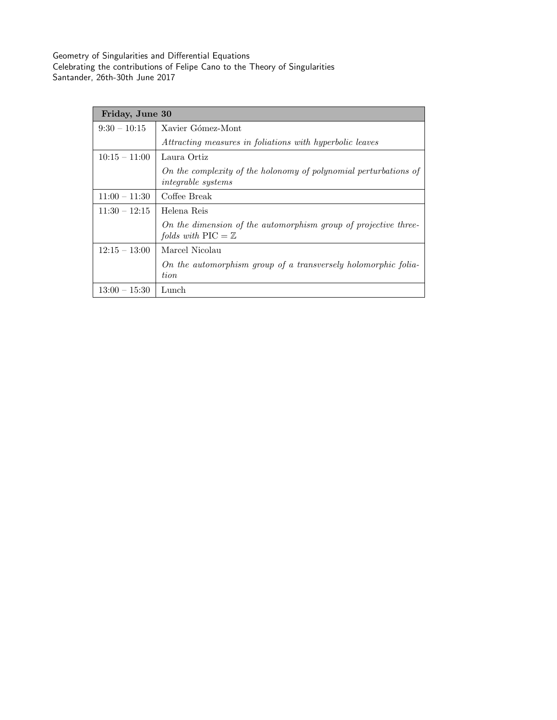| Friday, June 30 |                                                                                                         |
|-----------------|---------------------------------------------------------------------------------------------------------|
| $9:30 - 10:15$  | Xavier Gómez-Mont                                                                                       |
|                 | Attracting measures in foliations with hyperbolic leaves                                                |
| $10:15 - 11:00$ | Laura Ortiz                                                                                             |
|                 | On the complexity of the holonomy of polynomial perturbations of<br><i>integrable systems</i>           |
| $11:00 - 11:30$ | Coffee Break                                                                                            |
| $11:30 - 12:15$ | Helena Reis                                                                                             |
|                 | On the dimension of the automorphism group of projective three-<br>folds with $\text{PIC} = \mathbb{Z}$ |
| $12:15 - 13:00$ | Marcel Nicolau                                                                                          |
|                 | On the automorphism group of a transversely holomorphic folia-<br>tion                                  |
| $13:00 - 15:30$ | Lunch                                                                                                   |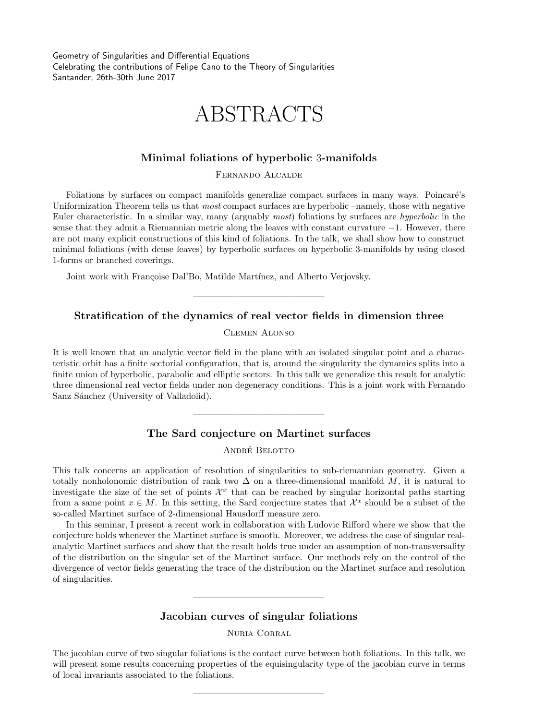# ABSTRACTS

#### **Minimal foliations of hyperbolic** 3**-manifolds**

Fernando Alcalde

Foliations by surfaces on compact manifolds generalize compact surfaces in many ways. Poincaré's Uniformization Theorem tells us that *most* compact surfaces are hyperbolic –namely, those with negative Euler characteristic. In a similar way, many (arguably *most*) foliations by surfaces are *hyperbolic* in the sense that they admit a Riemannian metric along the leaves with constant curvature *−*1. However, there are not many explicit constructions of this kind of foliations. In the talk, we shall show how to construct minimal foliations (with dense leaves) by hyperbolic surfaces on hyperbolic 3-manifolds by using closed 1-forms or branched coverings.

Joint work with Françoise Dal'Bo, Matilde Martínez, and Alberto Verjovsky.

## **Stratification of the dynamics of real vector fields in dimension three**

——————————————–

Clemen Alonso

It is well known that an analytic vector field in the plane with an isolated singular point and a characteristic orbit has a finite sectorial configuration, that is, around the singularity the dynamics splits into a finite union of hyperbolic, parabolic and elliptic sectors. In this talk we generalize this result for analytic three dimensional real vector fields under non degeneracy conditions. This is a joint work with Fernando Sanz Sánchez (University of Valladolid).

### **The Sard conjecture on Martinet surfaces**

——————————————–

ANDRÉ BELOTTO

This talk concerns an application of resolution of singularities to sub-riemannian geometry. Given a totally nonholonomic distribution of rank two  $\Delta$  on a three-dimensional manifold *M*, it is natural to investigate the size of the set of points  $\mathcal{X}^x$  that can be reached by singular horizontal paths starting from a same point  $x \in M$ . In this setting, the Sard conjecture states that  $\mathcal{X}^x$  should be a subset of the so-called Martinet surface of 2-dimensional Hausdorff measure zero.

In this seminar, I present a recent work in collaboration with Ludovic Rifford where we show that the conjecture holds whenever the Martinet surface is smooth. Moreover, we address the case of singular realanalytic Martinet surfaces and show that the result holds true under an assumption of non-transversality of the distribution on the singular set of the Martinet surface. Our methods rely on the control of the divergence of vector fields generating the trace of the distribution on the Martinet surface and resolution of singularities.

#### **Jacobian curves of singular foliations**

——————————————–

Nuria Corral

The jacobian curve of two singular foliations is the contact curve between both foliations. In this talk, we will present some results concerning properties of the equisingularity type of the jacobian curve in terms of local invariants associated to the foliations.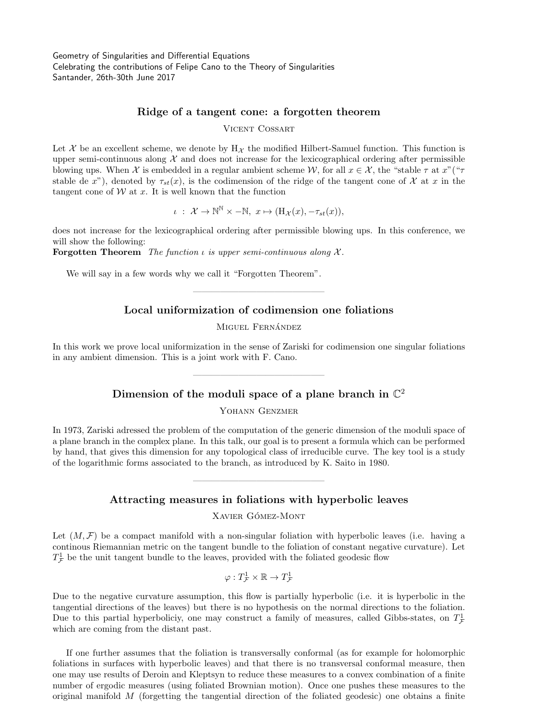#### **Ridge of a tangent cone: a forgotten theorem**

Vicent Cossart

Let  $\mathcal X$  be an excellent scheme, we denote by  $H_{\mathcal X}$  the modified Hilbert-Samuel function. This function is upper semi-continuous along  $\mathcal X$  and does not increase for the lexicographical ordering after permissible blowing ups. When *X* is embedded in a regular ambient scheme *W*, for all  $x \in \mathcal{X}$ , the "stable  $\tau$  at  $x$ "(" $\tau$ stable de *x*"), denoted by  $\tau_{st}(x)$ , is the codimension of the ridge of the tangent cone of *X* at *x* in the tangent cone of  $W$  at  $x$ . It is well known that the function

 $\iota$  :  $\mathcal{X} \to \mathbb{N}^{\mathbb{N}} \times -\mathbb{N}, \ x \mapsto (\mathbf{H}_{\mathcal{X}}(x), -\tau_{st}(x)),$ 

does not increase for the lexicographical ordering after permissible blowing ups. In this conference, we will show the following:

**Forgotten Theorem** *The function ι is upper semi-continuous along X .*

We will say in a few words why we call it "Forgotten Theorem".

### **Local uniformization of codimension one foliations**

——————————————–

MIGUEL FERNÁNDEZ

In this work we prove local uniformization in the sense of Zariski for codimension one singular foliations in any ambient dimension. This is a joint work with F. Cano.

# **Dimension of the moduli space of a plane branch in** C 2

——————————————–

Yohann Genzmer

In 1973, Zariski adressed the problem of the computation of the generic dimension of the moduli space of a plane branch in the complex plane. In this talk, our goal is to present a formula which can be performed by hand, that gives this dimension for any topological class of irreducible curve. The key tool is a study of the logarithmic forms associated to the branch, as introduced by K. Saito in 1980.

## **Attracting measures in foliations with hyperbolic leaves**

——————————————–

XAVIER GÓMEZ-MONT

Let  $(M, \mathcal{F})$  be a compact manifold with a non-singular foliation with hyperbolic leaves (i.e. having a continous Riemannian metric on the tangent bundle to the foliation of constant negative curvature). Let  $T^1_{\mathcal{F}}$  be the unit tangent bundle to the leaves, provided with the foliated geodesic flow

> $\varphi: T^1_{\mathcal{F}} \times \mathbb{R} \to T^1_{\mathcal{F}}$ *F*

Due to the negative curvature assumption, this flow is partially hyperbolic (i.e. it is hyperbolic in the tangential directions of the leaves) but there is no hypothesis on the normal directions to the foliation. Due to this partial hyperboliciy, one may construct a family of measures, called Gibbs-states, on  $T^1_{\mathcal{F}}$ *F* which are coming from the distant past.

If one further assumes that the foliation is transversally conformal (as for example for holomorphic foliations in surfaces with hyperbolic leaves) and that there is no transversal conformal measure, then one may use results of Deroin and Kleptsyn to reduce these measures to a convex combination of a finite number of ergodic measures (using foliated Brownian motion). Once one pushes these measures to the original manifold *M* (forgetting the tangential direction of the foliated geodesic) one obtains a finite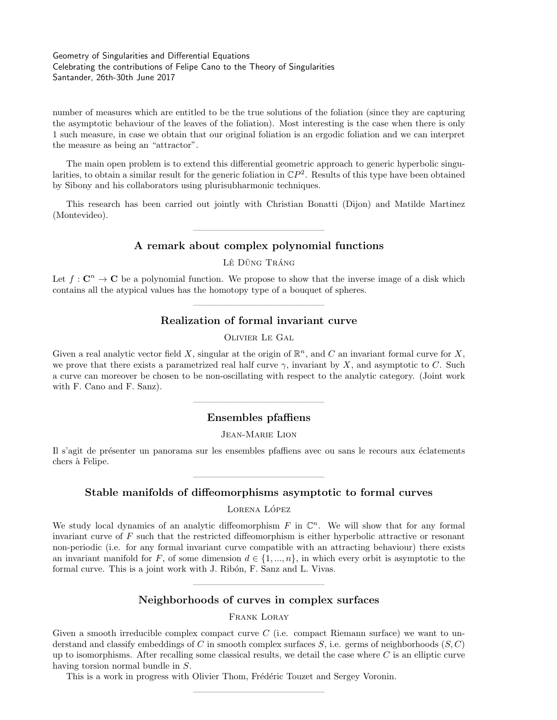number of measures which are entitled to be the true solutions of the foliation (since they are capturing the asymptotic behaviour of the leaves of the foliation). Most interesting is the case when there is only 1 such measure, in case we obtain that our original foliation is an ergodic foliation and we can interpret the measure as being an "attractor".

The main open problem is to extend this differential geometric approach to generic hyperbolic singularities, to obtain a similar result for the generic foliation in C*P* 2 . Results of this type have been obtained by Sibony and his collaborators using plurisubharmonic techniques.

This research has been carried out jointly with Christian Bonatti (Dijon) and Matilde Martinez (Montevideo).

## ——————————————– **A remark about complex polynomial functions**

LÊ DŨNG TRÁNG

Let  $f: \mathbb{C}^n \to \mathbb{C}$  be a polynomial function. We propose to show that the inverse image of a disk which contains all the atypical values has the homotopy type of a bouquet of spheres.

# ——————————————– **Realization of formal invariant curve**

Olivier Le Gal

Given a real analytic vector field X, singular at the origin of  $\mathbb{R}^n$ , and C an invariant formal curve for X, we prove that there exists a parametrized real half curve  $\gamma$ , invariant by *X*, and asymptotic to *C*. Such a curve can moreover be chosen to be non-oscillating with respect to the analytic category. (Joint work with F. Cano and F. Sanz).

# ——————————————– **Ensembles pfaffiens**

Jean-Marie Lion

Il s'agit de présenter un panorama sur les ensembles pfaffiens avec ou sans le recours aux éclatements chers à Felipe.

# ——————————————– **Stable manifolds of diffeomorphisms asymptotic to formal curves**

LORENA LÓPEZ

We study local dynamics of an analytic diffeomorphism  $F$  in  $\mathbb{C}^n$ . We will show that for any formal invariant curve of *F* such that the restricted diffeomorphism is either hyperbolic attractive or resonant non-periodic (i.e. for any formal invariant curve compatible with an attracting behaviour) there exists an invariant manifold for *F*, of some dimension  $d \in \{1, ..., n\}$ , in which every orbit is asymptotic to the formal curve. This is a joint work with J. Ribón, F. Sanz and L. Vivas.

## ——————————————– **Neighborhoods of curves in complex surfaces**

#### Frank Loray

Given a smooth irreducible complex compact curve *C* (i.e. compact Riemann surface) we want to understand and classify embeddings of *C* in smooth complex surfaces *S*, i.e. germs of neighborhoods (*S, C*) up to isomorphisms. After recalling some classical results, we detail the case where *C* is an elliptic curve having torsion normal bundle in *S*.

——————————————–

This is a work in progress with Olivier Thom, Frédéric Touzet and Sergey Voronin.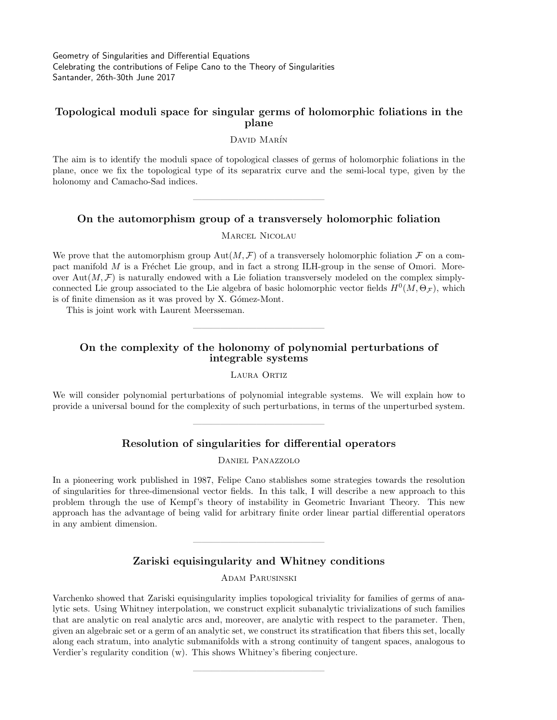#### **Topological moduli space for singular germs of holomorphic foliations in the plane**

David Marín

The aim is to identify the moduli space of topological classes of germs of holomorphic foliations in the plane, once we fix the topological type of its separatrix curve and the semi-local type, given by the holonomy and Camacho-Sad indices.

### **On the automorphism group of a transversely holomorphic foliation**

——————————————–

Marcel Nicolau

We prove that the automorphism group  $Aut(M, \mathcal{F})$  of a transversely holomorphic foliation  $\mathcal F$  on a compact manifold M is a Fréchet Lie group, and in fact a strong ILH-group in the sense of Omori. Moreover Aut $(M, \mathcal{F})$  is naturally endowed with a Lie foliation transversely modeled on the complex simplyconnected Lie group associated to the Lie algebra of basic holomorphic vector fields  $H^0(M,\Theta_{\mathcal{F}})$ , which is of finite dimension as it was proved by X. Gómez-Mont.

This is joint work with Laurent Meersseman.

## **On the complexity of the holonomy of polynomial perturbations of integrable systems**

——————————————–

LAURA ORTIZ

We will consider polynomial perturbations of polynomial integrable systems. We will explain how to provide a universal bound for the complexity of such perturbations, in terms of the unperturbed system.

### **Resolution of singularities for differential operators**

——————————————–

Daniel Panazzolo

In a pioneering work published in 1987, Felipe Cano stablishes some strategies towards the resolution of singularities for three-dimensional vector fields. In this talk, I will describe a new approach to this problem through the use of Kempf's theory of instability in Geometric Invariant Theory. This new approach has the advantage of being valid for arbitrary finite order linear partial differential operators in any ambient dimension.

## **Zariski equisingularity and Whitney conditions**

——————————————–

Adam Parusinski

Varchenko showed that Zariski equisingularity implies topological triviality for families of germs of analytic sets. Using Whitney interpolation, we construct explicit subanalytic trivializations of such families that are analytic on real analytic arcs and, moreover, are analytic with respect to the parameter. Then, given an algebraic set or a germ of an analytic set, we construct its stratification that fibers this set, locally along each stratum, into analytic submanifolds with a strong continuity of tangent spaces, analogous to Verdier's regularity condition (w). This shows Whitney's fibering conjecture.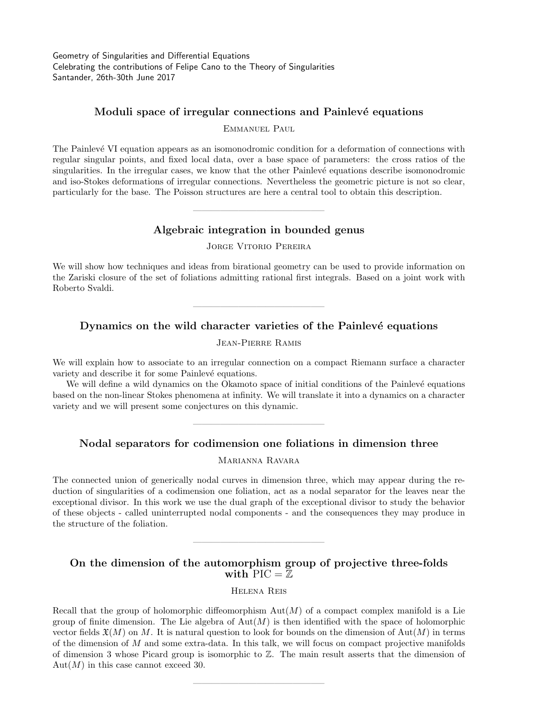### **Moduli space of irregular connections and Painlevé equations**

Emmanuel Paul

The Painlevé VI equation appears as an isomonodromic condition for a deformation of connections with regular singular points, and fixed local data, over a base space of parameters: the cross ratios of the singularities. In the irregular cases, we know that the other Painlevé equations describe isomonodromic and iso-Stokes deformations of irregular connections. Nevertheless the geometric picture is not so clear, particularly for the base. The Poisson structures are here a central tool to obtain this description.

### **Algebraic integration in bounded genus**

——————————————–

Jorge Vitorio Pereira

We will show how techniques and ideas from birational geometry can be used to provide information on the Zariski closure of the set of foliations admitting rational first integrals. Based on a joint work with Roberto Svaldi.

## **Dynamics on the wild character varieties of the Painlevé equations**

——————————————–

Jean-Pierre Ramis

We will explain how to associate to an irregular connection on a compact Riemann surface a character variety and describe it for some Painlevé equations.

We will define a wild dynamics on the Okamoto space of initial conditions of the Painlevé equations based on the non-linear Stokes phenomena at infinity. We will translate it into a dynamics on a character variety and we will present some conjectures on this dynamic.

### **Nodal separators for codimension one foliations in dimension three**

——————————————–

Marianna Ravara

The connected union of generically nodal curves in dimension three, which may appear during the reduction of singularities of a codimension one foliation, act as a nodal separator for the leaves near the exceptional divisor. In this work we use the dual graph of the exceptional divisor to study the behavior of these objects - called uninterrupted nodal components - and the consequences they may produce in the structure of the foliation.

### **On the dimension of the automorphism group of projective three-folds** with  $\text{PIC} = \mathbb{Z}$

——————————————–

Helena Reis

Recall that the group of holomorphic diffeomorphism  $\text{Aut}(M)$  of a compact complex manifold is a Lie group of finite dimension. The Lie algebra of  $Aut(M)$  is then identified with the space of holomorphic vector fields  $\mathfrak{X}(M)$  on M. It is natural question to look for bounds on the dimension of Aut $(M)$  in terms of the dimension of *M* and some extra-data. In this talk, we will focus on compact projective manifolds of dimension 3 whose Picard group is isomorphic to  $\mathbb{Z}$ . The main result asserts that the dimension of  $Aut(M)$  in this case cannot exceed 30.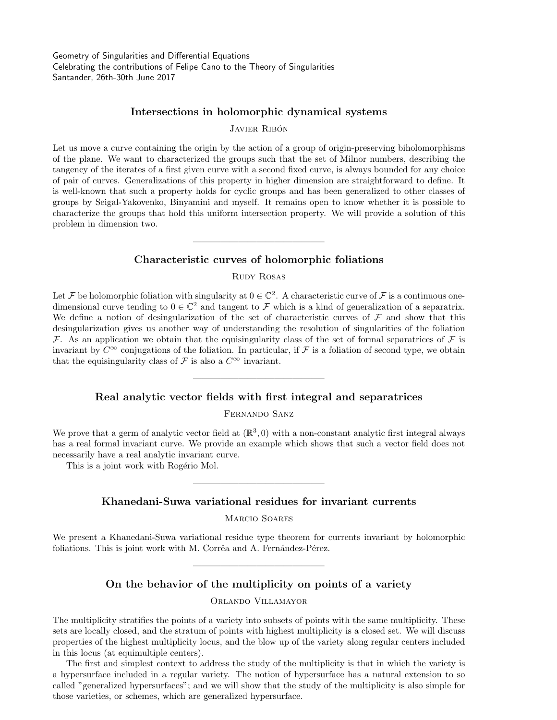#### **Intersections in holomorphic dynamical systems**

JAVIER RIBÓN

Let us move a curve containing the origin by the action of a group of origin-preserving biholomorphisms of the plane. We want to characterized the groups such that the set of Milnor numbers, describing the tangency of the iterates of a first given curve with a second fixed curve, is always bounded for any choice of pair of curves. Generalizations of this property in higher dimension are straightforward to define. It is well-known that such a property holds for cyclic groups and has been generalized to other classes of groups by Seigal-Yakovenko, Binyamini and myself. It remains open to know whether it is possible to characterize the groups that hold this uniform intersection property. We will provide a solution of this problem in dimension two.

## **Characteristic curves of holomorphic foliations**

——————————————–

Rudy Rosas

Let  $\mathcal F$  be holomorphic foliation with singularity at  $0 \in \mathbb C^2$ . A characteristic curve of  $\mathcal F$  is a continuous onedimensional curve tending to  $0 \in \mathbb{C}^2$  and tangent to *F* which is a kind of generalization of a separatrix. We define a notion of desingularization of the set of characteristic curves of *F* and show that this desingularization gives us another way of understanding the resolution of singularities of the foliation  $\mathcal F$ . As an application we obtain that the equisingularity class of the set of formal separatrices of  $\mathcal F$  is invariant by  $C^{\infty}$  conjugations of the foliation. In particular, if  $\mathcal F$  is a foliation of second type, we obtain that the equisingularity class of  $\mathcal F$  is also a  $C^{\infty}$  invariant.

## **Real analytic vector fields with first integral and separatrices**

——————————————–

Fernando Sanz

We prove that a germ of analytic vector field at  $(\mathbb{R}^3, 0)$  with a non-constant analytic first integral always has a real formal invariant curve. We provide an example which shows that such a vector field does not necessarily have a real analytic invariant curve.

This is a joint work with Rogério Mol.

## **Khanedani-Suwa variational residues for invariant currents**

——————————————–

Marcio Soares

We present a Khanedani-Suwa variational residue type theorem for currents invariant by holomorphic foliations. This is joint work with M. Corrêa and A. Fernández-Pérez.

#### **On the behavior of the multiplicity on points of a variety**

——————————————–

Orlando Villamayor

The multiplicity stratifies the points of a variety into subsets of points with the same multiplicity. These sets are locally closed, and the stratum of points with highest multiplicity is a closed set. We will discuss properties of the highest multiplicity locus, and the blow up of the variety along regular centers included in this locus (at equimultiple centers).

The first and simplest context to address the study of the multiplicity is that in which the variety is a hypersurface included in a regular variety. The notion of hypersurface has a natural extension to so called "generalized hypersurfaces"; and we will show that the study of the multiplicity is also simple for those varieties, or schemes, which are generalized hypersurface.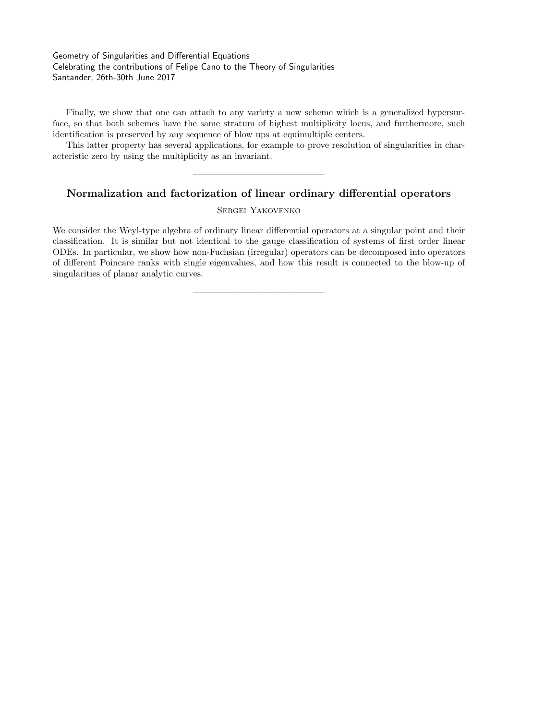Finally, we show that one can attach to any variety a new scheme which is a generalized hypersurface, so that both schemes have the same stratum of highest multiplicity locus, and furthermore, such identification is preserved by any sequence of blow ups at equimultiple centers.

This latter property has several applications, for example to prove resolution of singularities in characteristic zero by using the multiplicity as an invariant.

### **Normalization and factorization of linear ordinary differential operators**

——————————————–

Sergei Yakovenko

We consider the Weyl-type algebra of ordinary linear differential operators at a singular point and their classification. It is similar but not identical to the gauge classification of systems of first order linear ODEs. In particular, we show how non-Fuchsian (irregular) operators can be decomposed into operators of different Poincare ranks with single eigenvalues, and how this result is connected to the blow-up of singularities of planar analytic curves.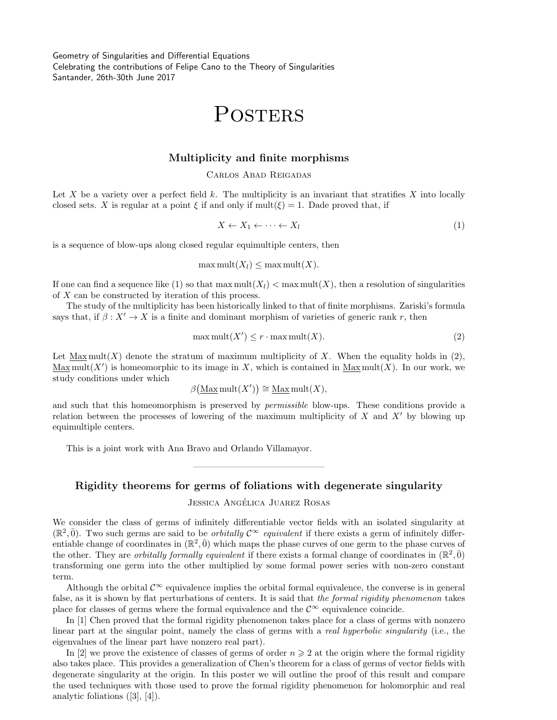# POSTERS

#### **Multiplicity and finite morphisms**

#### Carlos Abad Reigadas

Let  $X$  be a variety over a perfect field  $k$ . The multiplicity is an invariant that stratifies  $X$  into locally closed sets. *X* is regular at a point  $\xi$  if and only if  $\text{mult}(\xi) = 1$ . Dade proved that, if

$$
X \leftarrow X_1 \leftarrow \dots \leftarrow X_l \tag{1}
$$

is a sequence of blow-ups along closed regular equimultiple centers, then

$$
\max \text{mult}(X_l) \le \max \text{mult}(X).
$$

If one can find a sequence like (1) so that  $\max \text{mult}(X_l) < \max \text{mult}(X)$ , then a resolution of singularities of *X* can be constructed by iteration of this process.

The study of the multiplicity has been historically linked to that of finite morphisms. Zariski's formula says that, if  $\beta: X' \to X$  is a finite and dominant morphism of varieties of generic rank *r*, then

$$
\max \text{mult}(X') \le r \cdot \max \text{mult}(X). \tag{2}
$$

Let Max mult $(X)$  denote the stratum of maximum multiplicity of X. When the equality holds in  $(2)$ ,  $\text{Max mult}(X')$  is homeomorphic to its image in X, which is contained in  $\text{Max mult}(X)$ . In our work, we study conditions under which

$$
\beta(\underline{\operatorname{Max}}\operatorname{mult}(X')) \cong \underline{\operatorname{Max}}\operatorname{mult}(X),
$$

and such that this homeomorphism is preserved by *permissible* blow-ups. These conditions provide a relation between the processes of lowering of the maximum multiplicity of *X* and *X′* by blowing up equimultiple centers.

This is a joint work with Ana Bravo and Orlando Villamayor.

#### **Rigidity theorems for germs of foliations with degenerate singularity**

——————————————–

#### JESSICA ANGÉLICA JUAREZ ROSAS

We consider the class of germs of infinitely differentiable vector fields with an isolated singularity at  $(\mathbb{R}^2, \bar{0})$ . Two such germs are said to be *orbitally*  $\mathcal{C}^{\infty}$  *equivalent* if there exists a germ of infinitely differentiable change of coordinates in  $(\mathbb{R}^2, \bar{0})$  which maps the phase curves of one germ to the phase curves of the other. They are *orbitally formally equivalent* if there exists a formal change of coordinates in  $(\mathbb{R}^2, \bar{0})$ transforming one germ into the other multiplied by some formal power series with non-zero constant term.

Although the orbital  $\mathcal{C}^{\infty}$  equivalence implies the orbital formal equivalence, the converse is in general false, as it is shown by flat perturbations of centers. It is said that *the formal rigidity phenomenon* takes place for classes of germs where the formal equivalence and the  $\mathcal{C}^{\infty}$  equivalence coincide.

In [1] Chen proved that the formal rigidity phenomenon takes place for a class of germs with nonzero linear part at the singular point, namely the class of germs with a *real hyperbolic singularity* (i.e., the eigenvalues of the linear part have nonzero real part).

In [2] we prove the existence of classes of germs of order  $n \geq 2$  at the origin where the formal rigidity also takes place. This provides a generalization of Chen's theorem for a class of germs of vector fields with degenerate singularity at the origin. In this poster we will outline the proof of this result and compare the used techniques with those used to prove the formal rigidity phenomenon for holomorphic and real analytic foliations ([3], [4]).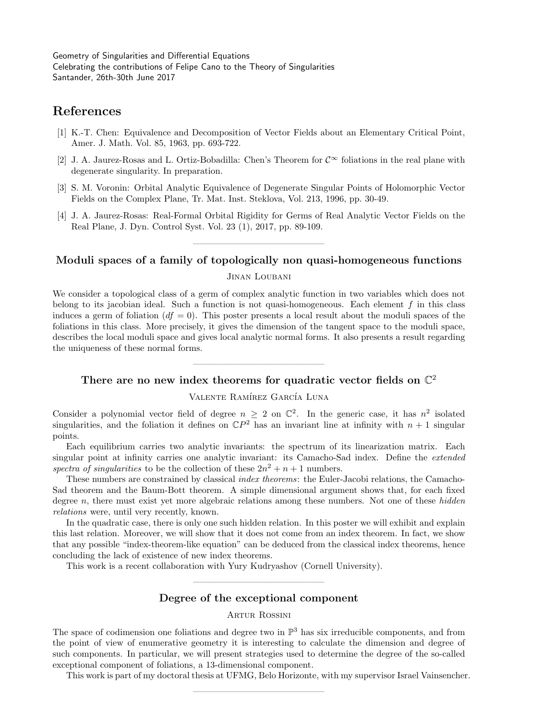# **References**

- [1] K.-T. Chen: Equivalence and Decomposition of Vector Fields about an Elementary Critical Point, Amer. J. Math. Vol. 85, 1963, pp. 693-722.
- [2] J. A. Jaurez-Rosas and L. Ortiz-Bobadilla: Chen's Theorem for *C<sup>∞</sup>* foliations in the real plane with degenerate singularity. In preparation.
- [3] S. M. Voronin: Orbital Analytic Equivalence of Degenerate Singular Points of Holomorphic Vector Fields on the Complex Plane, Tr. Mat. Inst. Steklova, Vol. 213, 1996, pp. 30-49.
- [4] J. A. Jaurez-Rosas: Real-Formal Orbital Rigidity for Germs of Real Analytic Vector Fields on the Real Plane, J. Dyn. Control Syst. Vol. 23 (1), 2017, pp. 89-109.

# ——————————————– **Moduli spaces of a family of topologically non quasi-homogeneous functions**

#### Jinan Loubani

We consider a topological class of a germ of complex analytic function in two variables which does not belong to its jacobian ideal. Such a function is not quasi-homogeneous. Each element *f* in this class induces a germ of foliation  $(df = 0)$ . This poster presents a local result about the moduli spaces of the foliations in this class. More precisely, it gives the dimension of the tangent space to the moduli space, describes the local moduli space and gives local analytic normal forms. It also presents a result regarding the uniqueness of these normal forms.

# ——————————————– **There are no new index theorems for quadratic vector fields on** C 2

#### VALENTE RAMÍREZ GARCÍA LUNA

Consider a polynomial vector field of degree  $n \geq 2$  on  $\mathbb{C}^2$ . In the generic case, it has  $n^2$  isolated singularities, and the foliation it defines on  $\mathbb{C}P^2$  has an invariant line at infinity with  $n+1$  singular points.

Each equilibrium carries two analytic invariants: the spectrum of its linearization matrix. Each singular point at infinity carries one analytic invariant: its Camacho-Sad index. Define the *extended* spectra of singularities to be the collection of these  $2n^2 + n + 1$  numbers.

These numbers are constrained by classical *index theorems*: the Euler-Jacobi relations, the Camacho-Sad theorem and the Baum-Bott theorem. A simple dimensional argument shows that, for each fixed degree *n*, there must exist yet more algebraic relations among these numbers. Not one of these *hidden relations* were, until very recently, known.

In the quadratic case, there is only one such hidden relation. In this poster we will exhibit and explain this last relation. Moreover, we will show that it does not come from an index theorem. In fact, we show that any possible "index-theorem-like equation" can be deduced from the classical index theorems, hence concluding the lack of existence of new index theorems.

This work is a recent collaboration with Yury Kudryashov (Cornell University).

# ——————————————– **Degree of the exceptional component**

### Artur Rossini

The space of codimension one foliations and degree two in  $\mathbb{P}^3$  has six irreducible components, and from the point of view of enumerative geometry it is interesting to calculate the dimension and degree of such components. In particular, we will present strategies used to determine the degree of the so-called exceptional component of foliations, a 13-dimensional component.

——————————————–

This work is part of my doctoral thesis at UFMG, Belo Horizonte, with my supervisor Israel Vainsencher.